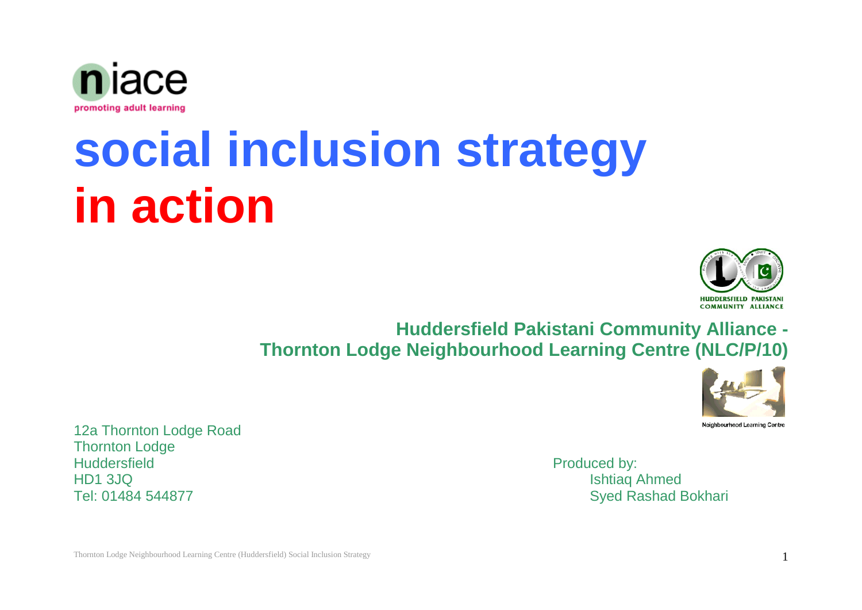

## **social inclusion strategy in action**



**Huddersfield Pakistani Community Alliance - Thornton Lodge Neighbourhood Learning Centre (NLC/P/10)**



12a Thornton Lodge Road Thornton Lodge Huddersfield **Produced by:** HD1 3JQ Ishtiaq Ahmed

Tel: 01484 544877 Syed Rashad Bokhari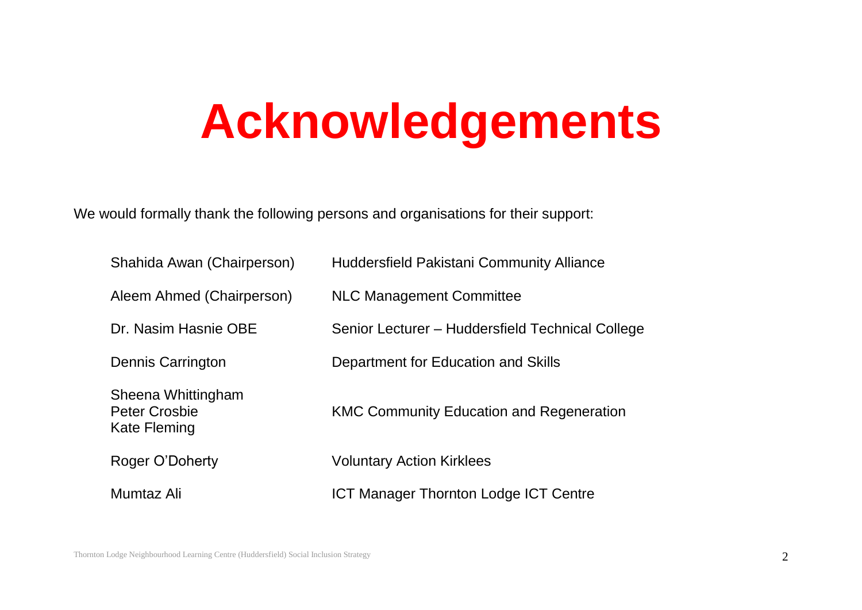## **Acknowledgements**

We would formally thank the following persons and organisations for their support:

| Shahida Awan (Chairperson)                                 | <b>Huddersfield Pakistani Community Alliance</b> |
|------------------------------------------------------------|--------------------------------------------------|
| Aleem Ahmed (Chairperson)                                  | <b>NLC Management Committee</b>                  |
| Dr. Nasim Hasnie OBE                                       | Senior Lecturer - Huddersfield Technical College |
| Dennis Carrington                                          | Department for Education and Skills              |
| Sheena Whittingham<br><b>Peter Crosbie</b><br>Kate Fleming | <b>KMC Community Education and Regeneration</b>  |
| Roger O'Doherty                                            | <b>Voluntary Action Kirklees</b>                 |
| Mumtaz Ali                                                 | <b>ICT Manager Thornton Lodge ICT Centre</b>     |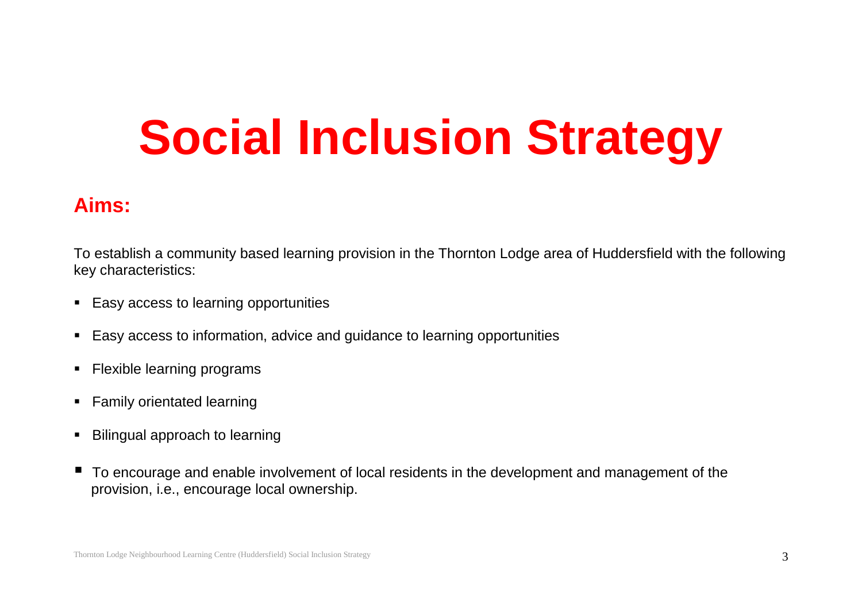## **Social Inclusion Strategy**

## **Aims:**

To establish a community based learning provision in the Thornton Lodge area of Huddersfield with the following key characteristics:

- **Easy access to learning opportunities**
- Easy access to information, advice and guidance to learning opportunities
- **Flexible learning programs**
- **Family orientated learning**
- **Bilingual approach to learning**
- To encourage and enable involvement of local residents in the development and management of the provision, i.e., encourage local ownership.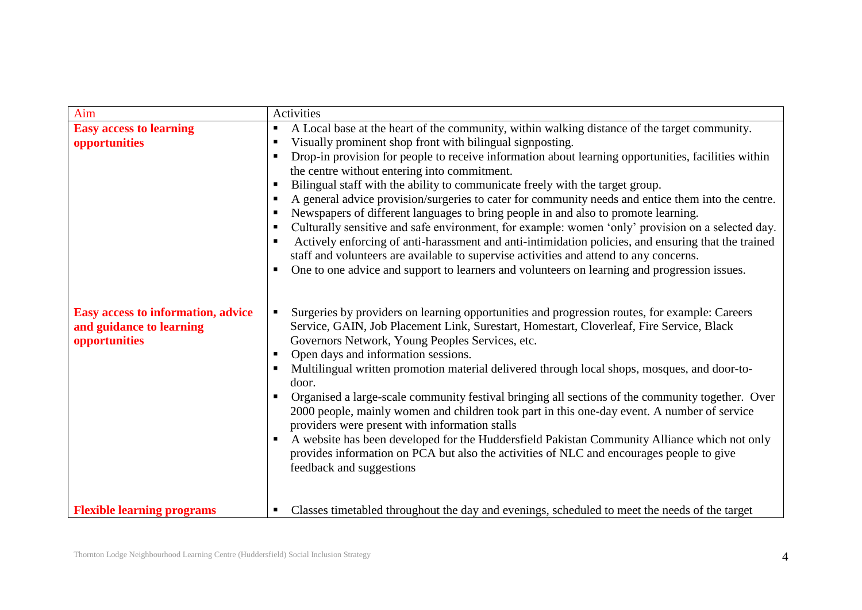| Aim                                                                             | Activities                                                                                                                                                                                                                                                                                                                                                                                                                                                                                                                                                                                                                                                                                                                                                                                                                                                                                                                                                                                                                      |
|---------------------------------------------------------------------------------|---------------------------------------------------------------------------------------------------------------------------------------------------------------------------------------------------------------------------------------------------------------------------------------------------------------------------------------------------------------------------------------------------------------------------------------------------------------------------------------------------------------------------------------------------------------------------------------------------------------------------------------------------------------------------------------------------------------------------------------------------------------------------------------------------------------------------------------------------------------------------------------------------------------------------------------------------------------------------------------------------------------------------------|
| <b>Easy access to learning</b><br>opportunities                                 | A Local base at the heart of the community, within walking distance of the target community.<br>$\blacksquare$<br>Visually prominent shop front with bilingual signposting.<br>Drop-in provision for people to receive information about learning opportunities, facilities within<br>the centre without entering into commitment.<br>Bilingual staff with the ability to communicate freely with the target group.<br>п<br>A general advice provision/surgeries to cater for community needs and entice them into the centre.<br>Newspapers of different languages to bring people in and also to promote learning.<br>Culturally sensitive and safe environment, for example: women 'only' provision on a selected day.<br>Actively enforcing of anti-harassment and anti-intimidation policies, and ensuring that the trained<br>staff and volunteers are available to supervise activities and attend to any concerns.<br>One to one advice and support to learners and volunteers on learning and progression issues.<br>п |
| Easy access to information, advice<br>and guidance to learning<br>opportunities | Surgeries by providers on learning opportunities and progression routes, for example: Careers<br>Service, GAIN, Job Placement Link, Surestart, Homestart, Cloverleaf, Fire Service, Black<br>Governors Network, Young Peoples Services, etc.<br>Open days and information sessions.<br>Multilingual written promotion material delivered through local shops, mosques, and door-to-<br>door.<br>Organised a large-scale community festival bringing all sections of the community together. Over<br>2000 people, mainly women and children took part in this one-day event. A number of service<br>providers were present with information stalls<br>A website has been developed for the Huddersfield Pakistan Community Alliance which not only<br>provides information on PCA but also the activities of NLC and encourages people to give<br>feedback and suggestions                                                                                                                                                       |
| <b>Flexible learning programs</b>                                               | Classes timetabled throughout the day and evenings, scheduled to meet the needs of the target                                                                                                                                                                                                                                                                                                                                                                                                                                                                                                                                                                                                                                                                                                                                                                                                                                                                                                                                   |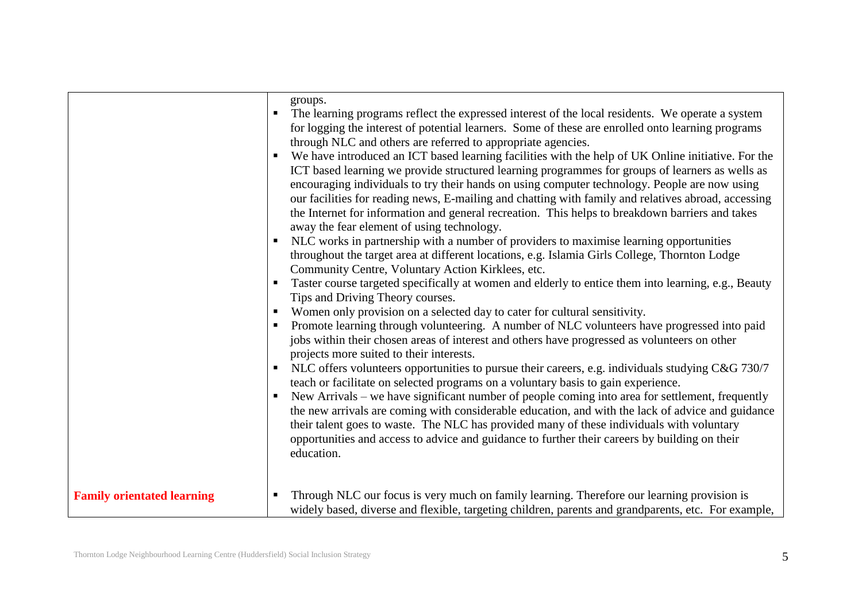|                                   | ٠ | groups.<br>The learning programs reflect the expressed interest of the local residents. We operate a system<br>for logging the interest of potential learners. Some of these are enrolled onto learning programs<br>through NLC and others are referred to appropriate agencies.<br>We have introduced an ICT based learning facilities with the help of UK Online initiative. For the<br>ICT based learning we provide structured learning programmes for groups of learners as wells as<br>encouraging individuals to try their hands on using computer technology. People are now using<br>our facilities for reading news, E-mailing and chatting with family and relatives abroad, accessing<br>the Internet for information and general recreation. This helps to breakdown barriers and takes<br>away the fear element of using technology.<br>NLC works in partnership with a number of providers to maximise learning opportunities<br>throughout the target area at different locations, e.g. Islamia Girls College, Thornton Lodge<br>Community Centre, Voluntary Action Kirklees, etc.<br>Taster course targeted specifically at women and elderly to entice them into learning, e.g., Beauty<br>Tips and Driving Theory courses.<br>Women only provision on a selected day to cater for cultural sensitivity.<br>Promote learning through volunteering. A number of NLC volunteers have progressed into paid<br>jobs within their chosen areas of interest and others have progressed as volunteers on other<br>projects more suited to their interests.<br>NLC offers volunteers opportunities to pursue their careers, e.g. individuals studying C&G 730/7<br>teach or facilitate on selected programs on a voluntary basis to gain experience.<br>New Arrivals – we have significant number of people coming into area for settlement, frequently<br>the new arrivals are coming with considerable education, and with the lack of advice and guidance<br>their talent goes to waste. The NLC has provided many of these individuals with voluntary<br>opportunities and access to advice and guidance to further their careers by building on their<br>education. |
|-----------------------------------|---|------------------------------------------------------------------------------------------------------------------------------------------------------------------------------------------------------------------------------------------------------------------------------------------------------------------------------------------------------------------------------------------------------------------------------------------------------------------------------------------------------------------------------------------------------------------------------------------------------------------------------------------------------------------------------------------------------------------------------------------------------------------------------------------------------------------------------------------------------------------------------------------------------------------------------------------------------------------------------------------------------------------------------------------------------------------------------------------------------------------------------------------------------------------------------------------------------------------------------------------------------------------------------------------------------------------------------------------------------------------------------------------------------------------------------------------------------------------------------------------------------------------------------------------------------------------------------------------------------------------------------------------------------------------------------------------------------------------------------------------------------------------------------------------------------------------------------------------------------------------------------------------------------------------------------------------------------------------------------------------------------------------------------------------------------------------------------------------------------------------------------------------------------------------------------------|
| <b>Family orientated learning</b> | п | Through NLC our focus is very much on family learning. Therefore our learning provision is<br>widely based, diverse and flexible, targeting children, parents and grandparents, etc. For example,                                                                                                                                                                                                                                                                                                                                                                                                                                                                                                                                                                                                                                                                                                                                                                                                                                                                                                                                                                                                                                                                                                                                                                                                                                                                                                                                                                                                                                                                                                                                                                                                                                                                                                                                                                                                                                                                                                                                                                                  |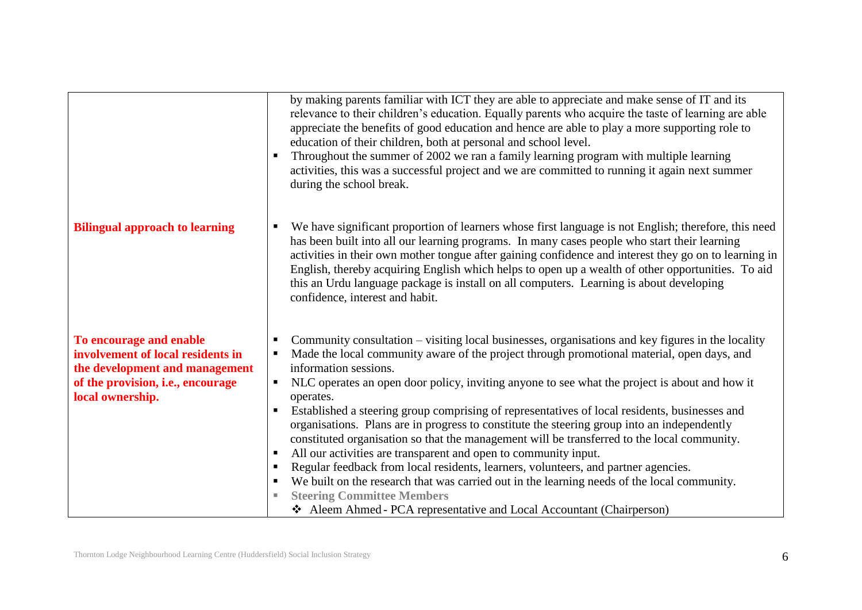|                                                                                                                                                         | by making parents familiar with ICT they are able to appreciate and make sense of IT and its<br>relevance to their children's education. Equally parents who acquire the taste of learning are able<br>appreciate the benefits of good education and hence are able to play a more supporting role to<br>education of their children, both at personal and school level.<br>Throughout the summer of 2002 we ran a family learning program with multiple learning<br>$\blacksquare$<br>activities, this was a successful project and we are committed to running it again next summer<br>during the school break.                                                                                                                                                                                                                                                                                                                                                                                                                             |
|---------------------------------------------------------------------------------------------------------------------------------------------------------|-----------------------------------------------------------------------------------------------------------------------------------------------------------------------------------------------------------------------------------------------------------------------------------------------------------------------------------------------------------------------------------------------------------------------------------------------------------------------------------------------------------------------------------------------------------------------------------------------------------------------------------------------------------------------------------------------------------------------------------------------------------------------------------------------------------------------------------------------------------------------------------------------------------------------------------------------------------------------------------------------------------------------------------------------|
| <b>Bilingual approach to learning</b>                                                                                                                   | We have significant proportion of learners whose first language is not English; therefore, this need<br>п<br>has been built into all our learning programs. In many cases people who start their learning<br>activities in their own mother tongue after gaining confidence and interest they go on to learning in<br>English, thereby acquiring English which helps to open up a wealth of other opportunities. To aid<br>this an Urdu language package is install on all computers. Learning is about developing<br>confidence, interest and habit.                                                                                                                                                                                                                                                                                                                                                                                                                                                                                         |
| To encourage and enable<br>involvement of local residents in<br>the development and management<br>of the provision, i.e., encourage<br>local ownership. | Community consultation – visiting local businesses, organisations and key figures in the locality<br>Made the local community aware of the project through promotional material, open days, and<br>information sessions.<br>NLC operates an open door policy, inviting anyone to see what the project is about and how it<br>operates.<br>Established a steering group comprising of representatives of local residents, businesses and<br>$\blacksquare$<br>organisations. Plans are in progress to constitute the steering group into an independently<br>constituted organisation so that the management will be transferred to the local community.<br>All our activities are transparent and open to community input.<br>$\blacksquare$<br>Regular feedback from local residents, learners, volunteers, and partner agencies.<br>We built on the research that was carried out in the learning needs of the local community.<br><b>Steering Committee Members</b><br>Aleem Ahmed - PCA representative and Local Accountant (Chairperson) |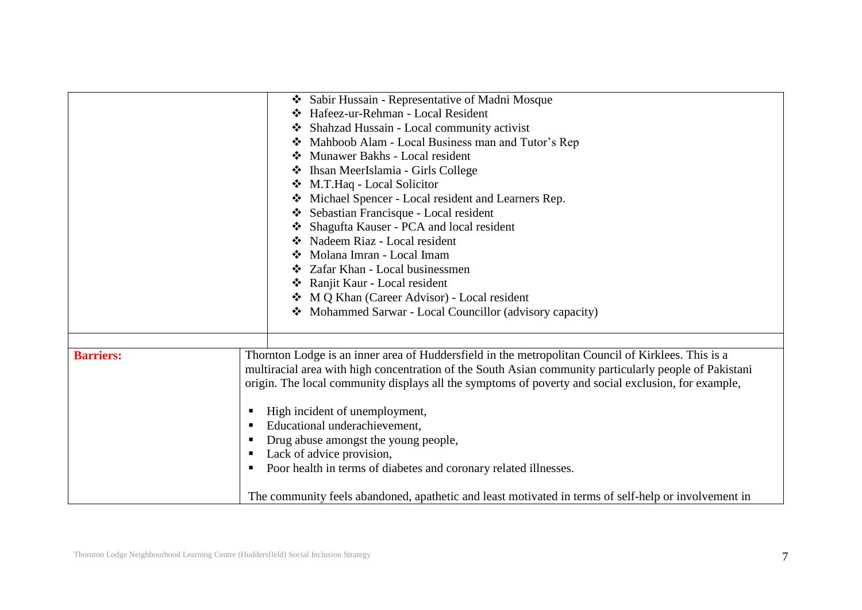|                  | Sabir Hussain - Representative of Madni Mosque                                                         |  |
|------------------|--------------------------------------------------------------------------------------------------------|--|
|                  | Hafeez-ur-Rehman - Local Resident<br>$\mathbf{A}$                                                      |  |
|                  | Shahzad Hussain - Local community activist                                                             |  |
|                  | Mahboob Alam - Local Business man and Tutor's Rep<br>❖                                                 |  |
|                  | Munawer Bakhs - Local resident<br>∙∑∙                                                                  |  |
|                  | Ihsan MeerIslamia - Girls College<br>❖                                                                 |  |
|                  | M.T.Haq - Local Solicitor                                                                              |  |
|                  | Michael Spencer - Local resident and Learners Rep.<br>❖                                                |  |
|                  | Sebastian Francisque - Local resident                                                                  |  |
|                  | Shagufta Kauser - PCA and local resident                                                               |  |
|                  | Nadeem Riaz - Local resident                                                                           |  |
|                  | Molana Imran - Local Imam                                                                              |  |
|                  | Zafar Khan - Local businessmen                                                                         |  |
|                  | Ranjit Kaur - Local resident                                                                           |  |
|                  | ❖ M Q Khan (Career Advisor) - Local resident                                                           |  |
|                  | Mohammed Sarwar - Local Councillor (advisory capacity)<br>$\mathbf{A}$                                 |  |
|                  |                                                                                                        |  |
|                  |                                                                                                        |  |
| <b>Barriers:</b> | Thornton Lodge is an inner area of Huddersfield in the metropolitan Council of Kirklees. This is a     |  |
|                  | multiracial area with high concentration of the South Asian community particularly people of Pakistani |  |
|                  | origin. The local community displays all the symptoms of poverty and social exclusion, for example,    |  |
|                  |                                                                                                        |  |
|                  | High incident of unemployment,                                                                         |  |
|                  | Educational underachievement,                                                                          |  |
|                  | Drug abuse amongst the young people,                                                                   |  |
|                  | Lack of advice provision,<br>ш                                                                         |  |
|                  | Poor health in terms of diabetes and coronary related illnesses.<br>ш                                  |  |
|                  |                                                                                                        |  |
|                  | The community feels abandoned, apathetic and least motivated in terms of self-help or involvement in   |  |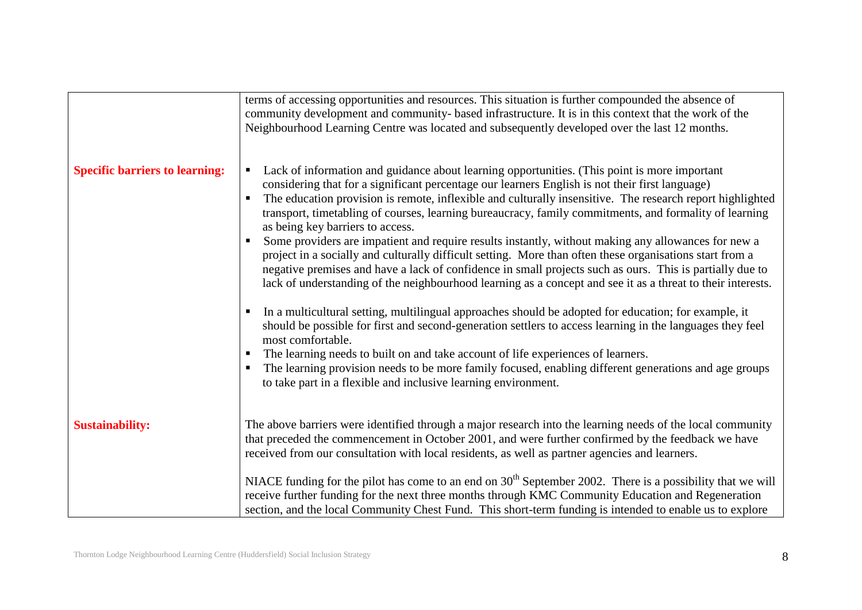|                                       | terms of accessing opportunities and resources. This situation is further compounded the absence of<br>community development and community- based infrastructure. It is in this context that the work of the<br>Neighbourhood Learning Centre was located and subsequently developed over the last 12 months.                                                                                                                                              |
|---------------------------------------|------------------------------------------------------------------------------------------------------------------------------------------------------------------------------------------------------------------------------------------------------------------------------------------------------------------------------------------------------------------------------------------------------------------------------------------------------------|
| <b>Specific barriers to learning:</b> | Lack of information and guidance about learning opportunities. (This point is more important<br>considering that for a significant percentage our learners English is not their first language)<br>The education provision is remote, inflexible and culturally insensitive. The research report highlighted<br>transport, timetabling of courses, learning bureaucracy, family commitments, and formality of learning<br>as being key barriers to access. |
|                                       | Some providers are impatient and require results instantly, without making any allowances for new a<br>project in a socially and culturally difficult setting. More than often these organisations start from a<br>negative premises and have a lack of confidence in small projects such as ours. This is partially due to<br>lack of understanding of the neighbourhood learning as a concept and see it as a threat to their interests.                 |
|                                       | In a multicultural setting, multilingual approaches should be adopted for education; for example, it<br>should be possible for first and second-generation settlers to access learning in the languages they feel<br>most comfortable.<br>The learning needs to built on and take account of life experiences of learners.                                                                                                                                 |
|                                       | The learning provision needs to be more family focused, enabling different generations and age groups<br>to take part in a flexible and inclusive learning environment.                                                                                                                                                                                                                                                                                    |
| <b>Sustainability:</b>                | The above barriers were identified through a major research into the learning needs of the local community<br>that preceded the commencement in October 2001, and were further confirmed by the feedback we have<br>received from our consultation with local residents, as well as partner agencies and learners.                                                                                                                                         |
|                                       | NIACE funding for the pilot has come to an end on $30th$ September 2002. There is a possibility that we will<br>receive further funding for the next three months through KMC Community Education and Regeneration<br>section, and the local Community Chest Fund. This short-term funding is intended to enable us to explore                                                                                                                             |